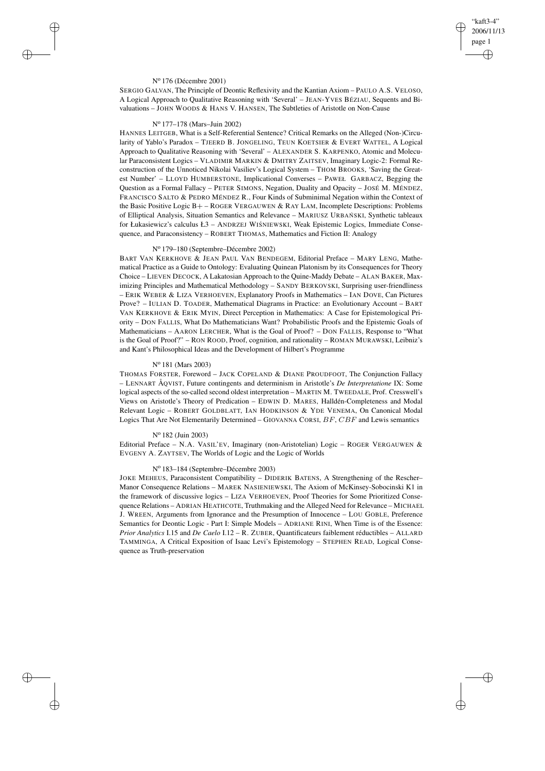## "kaft3-4" 2006/11/13 page 1 ✐ ✐

✐

✐

### N<sup>o</sup> 176 (Décembre 2001)

 $\rightarrow$ 

 $\rightarrow$ 

✐

✐

SERGIO GALVAN, The Principle of Deontic Reflexivity and the Kantian Axiom – PAULO A.S. VELOSO, A Logical Approach to Qualitative Reasoning with 'Several' – JEAN-YVES BÉZIAU, Sequents and Bivaluations – JOHN WOODS & HANS V. HANSEN, The Subtleties of Aristotle on Non-Cause

## N<sup>o</sup> 177–178 (Mars–Juin 2002)

HANNES LEITGEB, What is a Self-Referential Sentence? Critical Remarks on the Alleged (Non-)Circularity of Yablo's Paradox - TJEERD B. JONGELING, TEUN KOETSIER & EVERT WATTEL, A Logical Approach to Qualitative Reasoning with 'Several' – ALEXANDER S. KARPENKO, Atomic and Molecular Paraconsistent Logics – VLADIMIR MARKIN & DMITRY ZAITSEV, Imaginary Logic-2: Formal Reconstruction of the Unnoticed Nikolai Vasiliev's Logical System – THOM BROOKS, 'Saving the Greatest Number' – LLOYD HUMBERSTONE, Implicational Converses – PAWEŁ GARBACZ, Begging the Question as a Formal Fallacy – PETER SIMONS, Negation, Duality and Opacity – JOSÉ M. MÉNDEZ, FRANCISCO SALTO & PEDRO MÉNDEZ R., Four Kinds of Subminimal Negation within the Context of the Basic Positive Logic B+ – ROGER VERGAUWEN & RAY LAM, Incomplete Descriptions: Problems of Elliptical Analysis, Situation Semantics and Relevance - MARIUSZ URBAŃSKI, Synthetic tableaux for Łukasiewicz's calculus Ł3 – ANDRZEJ WIŚNIEWSKI, Weak Epistemic Logics, Immediate Consequence, and Paraconsistency – ROBERT THOMAS, Mathematics and Fiction II: Analogy

## N<sup>o</sup> 179–180 (Septembre–Décembre 2002)

BART VAN KERKHOVE & JEAN PAUL VAN BENDEGEM, Editorial Preface – MARY LENG, Mathematical Practice as a Guide to Ontology: Evaluating Quinean Platonism by its Consequences for Theory Choice – LIEVEN DECOCK, A Lakatosian Approach to the Quine-Maddy Debate – ALAN BAKER, Maximizing Principles and Mathematical Methodology – SANDY BERKOVSKI, Surprising user-friendliness – ERIK WEBER & LIZA VERHOEVEN, Explanatory Proofs in Mathematics – IAN DOVE, Can Pictures Prove? – IULIAN D. TOADER, Mathematical Diagrams in Practice: an Evolutionary Account – BART VAN KERKHOVE & ERIK MYIN, Direct Perception in Mathematics: A Case for Epistemological Priority – DON FALLIS, What Do Mathematicians Want? Probabilistic Proofs and the Epistemic Goals of Mathematicians – AARON LERCHER, What is the Goal of Proof? – DON FALLIS, Response to "What is the Goal of Proof?" – RON ROOD, Proof, cognition, and rationality – ROMAN MURAWSKI, Leibniz's and Kant's Philosophical Ideas and the Development of Hilbert's Programme

## N<sup>o</sup> 181 (Mars 2003)

THOMAS FORSTER, Foreword – JACK COPELAND & DIANE PROUDFOOT, The Conjunction Fallacy – LENNART ÅQVIST, Future contingents and determinism in Aristotle's *De Interpretatione* IX: Some logical aspects of the so-called second oldest interpretation – MARTIN M. TWEEDALE, Prof. Cresswell's Views on Aristotle's Theory of Predication – EDWIN D. MARES, Halldén-Completeness and Modal Relevant Logic – ROBERT GOLDBLATT, IAN HODKINSON & YDE VENEMA, On Canonical Modal Logics That Are Not Elementarily Determined – GIOVANNA CORSI, BF, CBF and Lewis semantics

### N<sup>o</sup> 182 (Juin 2003)

Editorial Preface – N.A. VASIL'EV, Imaginary (non-Aristotelian) Logic – ROGER VERGAUWEN & EVGENY A. ZAYTSEV, The Worlds of Logic and the Logic of Worlds

#### N<sup>o</sup> 183–184 (Septembre–Décembre 2003)

JOKE MEHEUS, Paraconsistent Compatibility – DIDERIK BATENS, A Strengthening of the Rescher– Manor Consequence Relations – MAREK NASIENIEWSKI, The Axiom of McKinsey-Sobocinski K1 in the framework of discussive logics – LIZA VERHOEVEN, Proof Theories for Some Prioritized Consequence Relations – ADRIAN HEATHCOTE, Truthmaking and the Alleged Need for Relevance – MICHAEL J. WREEN, Arguments from Ignorance and the Presumption of Innocence – LOU GOBLE, Preference Semantics for Deontic Logic - Part I: Simple Models – ADRIANE RINI, When Time is of the Essence: *Prior Analytics* I.15 and *De Caelo* I.12 – R. ZUBER, Quantificateurs faiblement réductibles – ALLARD TAMMINGA, A Critical Exposition of Isaac Levi's Epistemology – STEPHEN READ, Logical Consequence as Truth-preservation